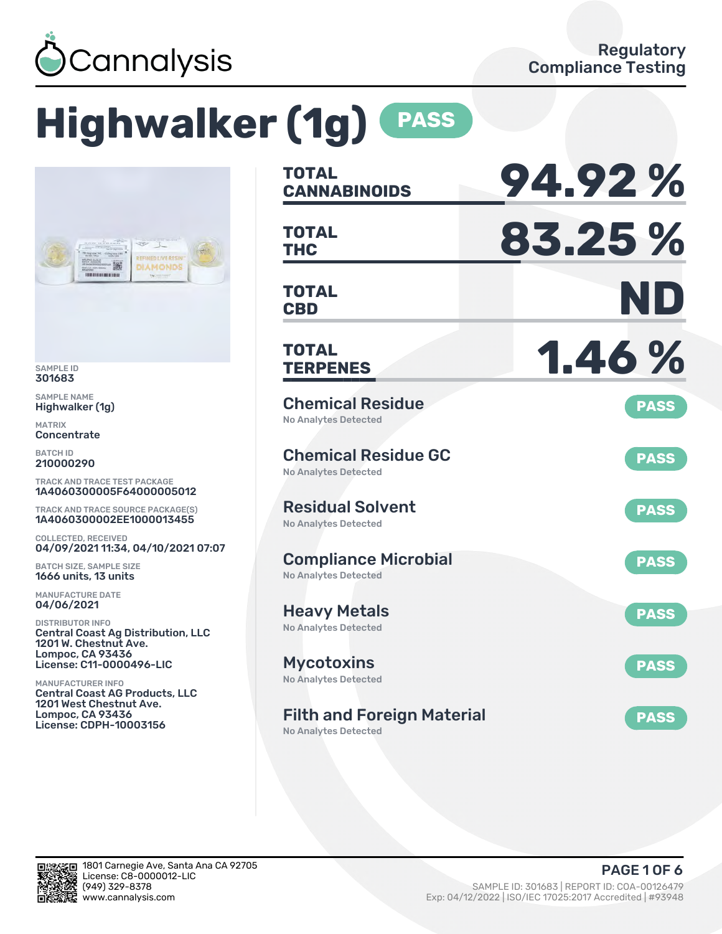

# **Highwalker (1g) PASS**



SAMPLE ID 301683

SAMPLE NAME Highwalker (1g)

MATRIX Concentrate

BATCH ID 210000290

TRACK AND TRACE TEST PACKAGE 1A4060300005F64000005012

TRACK AND TRACE SOURCE PACKAGE(S) 1A4060300002EE1000013455

COLLECTED, RECEIVED 04/09/2021 11:34, 04/10/2021 07:07

BATCH SIZE, SAMPLE SIZE 1666 units, 13 units

MANUFACTURE DATE 04/06/2021

DISTRIBUTOR INFO Central Coast Ag Distribution, LLC 1201 W. Chestnut Ave. Lompoc, CA 93436 License: C11-0000496-LIC

MANUFACTURER INFO Central Coast AG Products, LLC 1201 West Chestnut Ave. Lompoc, CA 93436 License: CDPH-10003156

| TOTAL<br><b>CANNABINOIDS</b>                               | 94.92%      |
|------------------------------------------------------------|-------------|
| <b>TOTAL</b><br><b>THC</b>                                 | 83.25 %     |
| TOTAL<br><b>CBD</b>                                        | ND          |
| TOTAL<br><b>TERPENES</b>                                   | 1.46%       |
| <b>Chemical Residue</b><br><b>No Analytes Detected</b>     | <b>PASS</b> |
| <b>Chemical Residue GC</b><br><b>No Analytes Detected</b>  | <b>PASS</b> |
| <b>Residual Solvent</b><br><b>No Analytes Detected</b>     | <b>PASS</b> |
| <b>Compliance Microbial</b><br><b>No Analytes Detected</b> | <b>PASS</b> |
| <b>Heavy Metals</b><br><b>No Analytes Detected</b>         | <b>PASS</b> |
| <b>Mycotoxins</b><br>No Analytes Detected                  | <b>PASS</b> |
| <b>Filth and Foreign Material</b>                          | <b>PASS</b> |

No Analytes Detected

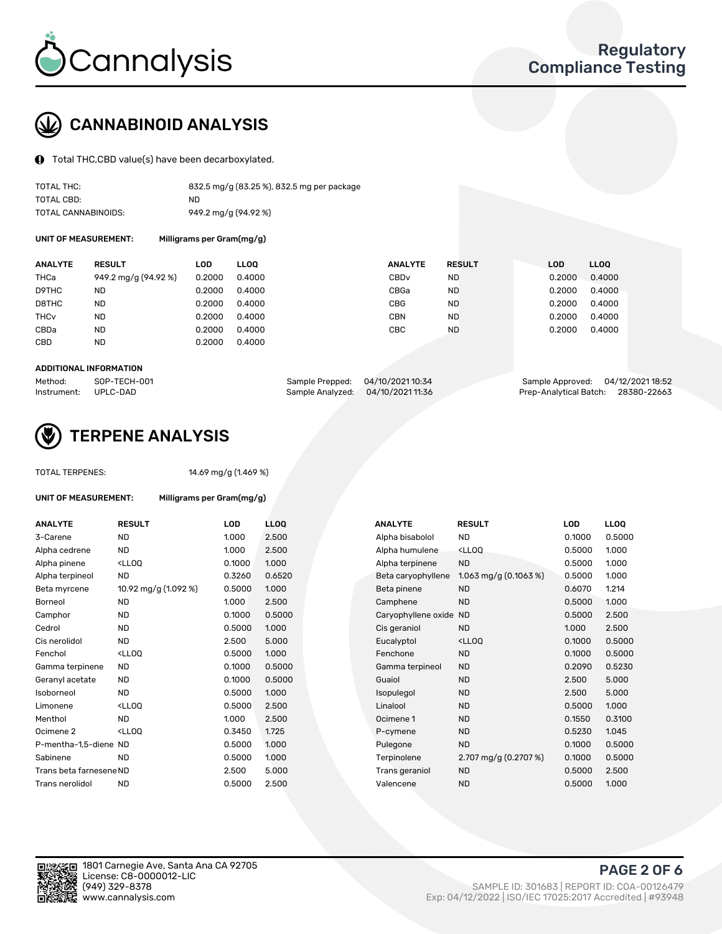

## CANNABINOID ANALYSIS

Total THC,CBD value(s) have been decarboxylated.

| TOTAL THC:          | 832.5 mg/g (83.25 %), 832.5 mg per package |
|---------------------|--------------------------------------------|
| TOTAL CBD:          | ND.                                        |
| TOTAL CANNABINOIDS: | 949.2 mg/g (94.92 %)                       |

UNIT OF MEASUREMENT: Milligrams per Gram(mg/g)

| <b>ANALYTE</b>         | <b>RESULT</b>        | LOD    | <b>LLOO</b> | <b>ANALYTE</b>   | <b>RESULT</b> | <b>LOD</b> | <b>LLOO</b> |
|------------------------|----------------------|--------|-------------|------------------|---------------|------------|-------------|
| THCa                   | 949.2 mg/g (94.92 %) | 0.2000 | 0.4000      | CBD <sub>v</sub> | <b>ND</b>     | 0.2000     | 0.4000      |
| D9THC                  | <b>ND</b>            | 0.2000 | 0.4000      | CBGa             | <b>ND</b>     | 0.2000     | 0.4000      |
| D8THC                  | <b>ND</b>            | 0.2000 | 0.4000      | <b>CBG</b>       | <b>ND</b>     | 0.2000     | 0.4000      |
| <b>THC<sub>v</sub></b> | <b>ND</b>            | 0.2000 | 0.4000      | <b>CBN</b>       | <b>ND</b>     | 0.2000     | 0.4000      |
| CBDa                   | <b>ND</b>            | 0.2000 | 0.4000      | CBC              | <b>ND</b>     | 0.2000     | 0.4000      |
| CBD                    | <b>ND</b>            | 0.2000 | 0.4000      |                  |               |            |             |
|                        |                      |        |             |                  |               |            |             |

#### ADDITIONAL INFORMATION

| Method:              | SOP-TECH-001 | Sample Prepped: 04/10/2021 10:34 |                                   | Sample Approved: 04/12/2021 18:52  |  |
|----------------------|--------------|----------------------------------|-----------------------------------|------------------------------------|--|
| Instrument: UPLC-DAD |              |                                  | Sample Analyzed: 04/10/2021 11:36 | Prep-Analytical Batch: 28380-22663 |  |



## TERPENE ANALYSIS

| <b>TOTAL TERPENES:</b>      |                                                | 14.69 mg/g (1.469 %)      |   |
|-----------------------------|------------------------------------------------|---------------------------|---|
| <b>UNIT OF MEASUREMENT:</b> |                                                | Milligrams per Gram(mg/g) |   |
| <b>ANALYTE</b>              | <b>RESULT</b>                                  | <b>LOD</b>                | L |
| 3-Carene                    | <b>ND</b>                                      | 1.000                     | 2 |
| Alpha cedrene               | ND.                                            | 1.000                     | 2 |
| Alpha pinene                | <lloo< td=""><td>0.1000</td><td>1</td></lloo<> | 0.1000                    | 1 |
| Alpha terpineol             | ND                                             | 0.3260                    | C |
| Beta myrcene                | 10.92 mg/g (1.092 %)                           | 0.5000                    | 1 |
| Borneol                     | <b>ND</b>                                      | 1.000                     | 2 |
| Camphor                     | <b>ND</b>                                      | 0.1000                    | C |
| Cedrol                      | ND                                             | 0.5000                    | 1 |
| Cis nerolidol               | ND.                                            | 2.500                     | 5 |
| Fenchol                     | <lloo< td=""><td>0.5000</td><td>1</td></lloo<> | 0.5000                    | 1 |
| Gamma terpinene             | <b>ND</b>                                      | 0.1000                    | C |
| Geranyl acetate             | ND                                             | 0.1000                    | C |
| Isoborneol                  | ND.                                            | 0.5000                    | 1 |
| Limonene                    | <lloo< td=""><td>0.5000</td><td>2</td></lloo<> | 0.5000                    | 2 |
| Menthol                     | ND                                             | 1.000                     | 2 |

| ANALYTE                 | <b>RESULT</b>                                                                                                             | LOD    | LLOQ   | ANALYTE             | <b>RESULT</b>                                       | <b>LOD</b> | <b>LLOQ</b> |
|-------------------------|---------------------------------------------------------------------------------------------------------------------------|--------|--------|---------------------|-----------------------------------------------------|------------|-------------|
| 3-Carene                | ND                                                                                                                        | 1.000  | 2.500  | Alpha bisabolol     | ND                                                  | 0.1000     | 0.5000      |
| Alpha cedrene           | <b>ND</b>                                                                                                                 | 1.000  | 2.500  | Alpha humulene      | <lloq< td=""><td>0.5000</td><td>1.000</td></lloq<>  | 0.5000     | 1.000       |
| Alpha pinene            | <ll0q< td=""><td>0.1000</td><td>1.000</td><td>Alpha terpinene</td><td><b>ND</b></td><td>0.5000</td><td>1.000</td></ll0q<> | 0.1000 | 1.000  | Alpha terpinene     | <b>ND</b>                                           | 0.5000     | 1.000       |
| Alpha terpineol         | <b>ND</b>                                                                                                                 | 0.3260 | 0.6520 | Beta caryophyllene  | 1.063 mg/g $(0.1063\%)$                             | 0.5000     | 1.000       |
| Beta myrcene            | 10.92 mg/g (1.092 %)                                                                                                      | 0.5000 | 1.000  | Beta pinene         | <b>ND</b>                                           | 0.6070     | 1.214       |
| Borneol                 | <b>ND</b>                                                                                                                 | 1.000  | 2.500  | Camphene            | <b>ND</b>                                           | 0.5000     | 1.000       |
| Camphor                 | <b>ND</b>                                                                                                                 | 0.1000 | 0.5000 | Caryophyllene oxide | <b>ND</b>                                           | 0.5000     | 2.500       |
| Cedrol                  | <b>ND</b>                                                                                                                 | 0.5000 | 1.000  | Cis geraniol        | <b>ND</b>                                           | 1.000      | 2.500       |
| Cis nerolidol           | <b>ND</b>                                                                                                                 | 2.500  | 5.000  | Eucalyptol          | <ll0q< td=""><td>0.1000</td><td>0.5000</td></ll0q<> | 0.1000     | 0.5000      |
| Fenchol                 | <ll0q< td=""><td>0.5000</td><td>1.000</td><td>Fenchone</td><td><b>ND</b></td><td>0.1000</td><td>0.5000</td></ll0q<>       | 0.5000 | 1.000  | Fenchone            | <b>ND</b>                                           | 0.1000     | 0.5000      |
| Gamma terpinene         | <b>ND</b>                                                                                                                 | 0.1000 | 0.5000 | Gamma terpineol     | <b>ND</b>                                           | 0.2090     | 0.5230      |
| Geranyl acetate         | ND.                                                                                                                       | 0.1000 | 0.5000 | Guaiol              | <b>ND</b>                                           | 2.500      | 5.000       |
| Isoborneol              | ND                                                                                                                        | 0.5000 | 1.000  | Isopulegol          | <b>ND</b>                                           | 2.500      | 5.000       |
| Limonene                | <lloq< td=""><td>0.5000</td><td>2.500</td><td>Linalool</td><td><b>ND</b></td><td>0.5000</td><td>1.000</td></lloq<>        | 0.5000 | 2.500  | Linalool            | <b>ND</b>                                           | 0.5000     | 1.000       |
| Menthol                 | <b>ND</b>                                                                                                                 | 1.000  | 2.500  | Ocimene 1           | <b>ND</b>                                           | 0.1550     | 0.3100      |
| Ocimene 2               | <lloq< td=""><td>0.3450</td><td>1.725</td><td>P-cymene</td><td><b>ND</b></td><td>0.5230</td><td>1.045</td></lloq<>        | 0.3450 | 1.725  | P-cymene            | <b>ND</b>                                           | 0.5230     | 1.045       |
| P-mentha-1,5-diene ND   |                                                                                                                           | 0.5000 | 1.000  | Pulegone            | <b>ND</b>                                           | 0.1000     | 0.5000      |
| Sabinene                | <b>ND</b>                                                                                                                 | 0.5000 | 1.000  | Terpinolene         | 2.707 mg/g $(0.2707%)$                              | 0.1000     | 0.5000      |
| Trans beta farnesene ND |                                                                                                                           | 2.500  | 5.000  | Trans geraniol      | <b>ND</b>                                           | 0.5000     | 2.500       |
| Trans nerolidol         | <b>ND</b>                                                                                                                 | 0.5000 | 2.500  | Valencene           | <b>ND</b>                                           | 0.5000     | 1.000       |
|                         |                                                                                                                           |        |        |                     |                                                     |            |             |



PAGE 2 OF 6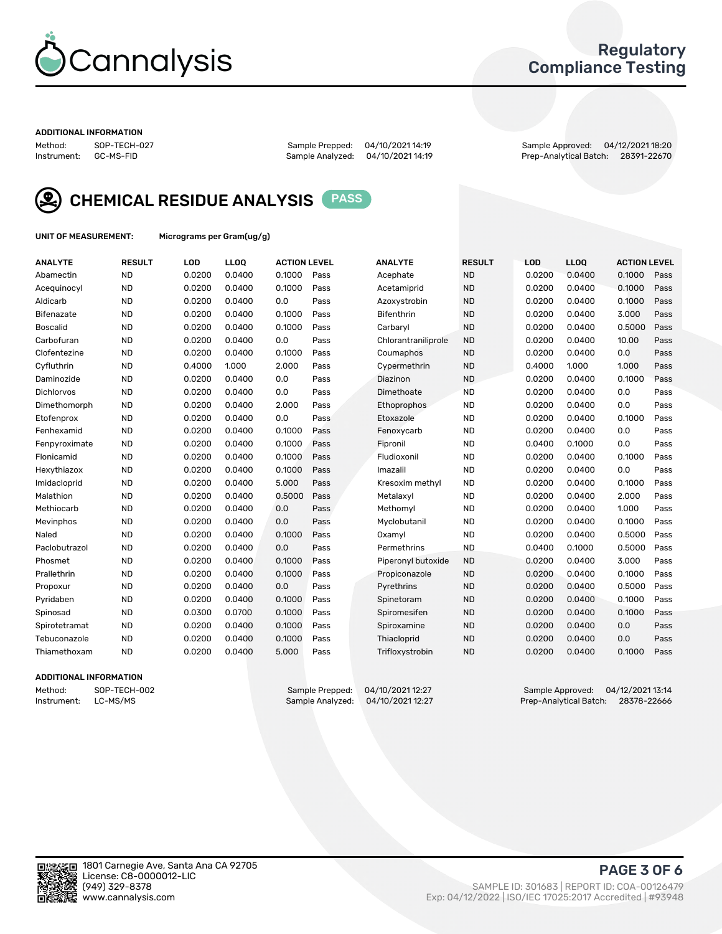

## Regulatory Compliance Testing

#### ADDITIONAL INFORMATION

Method: SOP-TECH-027 Sample Prepped: 04/10/2021 14:19 Sample Approved: 04/12/2021 18:20 Prep-Analytical Batch: 28391-22670



CHEMICAL RESIDUE ANALYSIS PASS

UNIT OF MEASUREMENT: Micrograms per Gram(ug/g)

| <b>ANALYTE</b>    | <b>RESULT</b> | LOD    | LL <sub>OO</sub> | <b>ACTION LEVEL</b> |      | <b>ANALYTE</b>      | <b>RESULT</b> | <b>LOD</b> | <b>LLOQ</b> | <b>ACTION LEVEL</b> |      |
|-------------------|---------------|--------|------------------|---------------------|------|---------------------|---------------|------------|-------------|---------------------|------|
| Abamectin         | <b>ND</b>     | 0.0200 | 0.0400           | 0.1000              | Pass | Acephate            | <b>ND</b>     | 0.0200     | 0.0400      | 0.1000              | Pass |
| Acequinocyl       | <b>ND</b>     | 0.0200 | 0.0400           | 0.1000              | Pass | Acetamiprid         | <b>ND</b>     | 0.0200     | 0.0400      | 0.1000              | Pass |
| Aldicarb          | <b>ND</b>     | 0.0200 | 0.0400           | 0.0                 | Pass | Azoxystrobin        | <b>ND</b>     | 0.0200     | 0.0400      | 0.1000              | Pass |
| Bifenazate        | <b>ND</b>     | 0.0200 | 0.0400           | 0.1000              | Pass | <b>Bifenthrin</b>   | <b>ND</b>     | 0.0200     | 0.0400      | 3.000               | Pass |
| <b>Boscalid</b>   | <b>ND</b>     | 0.0200 | 0.0400           | 0.1000              | Pass | Carbaryl            | <b>ND</b>     | 0.0200     | 0.0400      | 0.5000              | Pass |
| Carbofuran        | <b>ND</b>     | 0.0200 | 0.0400           | 0.0                 | Pass | Chlorantraniliprole | <b>ND</b>     | 0.0200     | 0.0400      | 10.00               | Pass |
| Clofentezine      | <b>ND</b>     | 0.0200 | 0.0400           | 0.1000              | Pass | Coumaphos           | <b>ND</b>     | 0.0200     | 0.0400      | 0.0                 | Pass |
| Cyfluthrin        | <b>ND</b>     | 0.4000 | 1.000            | 2.000               | Pass | Cypermethrin        | <b>ND</b>     | 0.4000     | 1.000       | 1.000               | Pass |
| Daminozide        | <b>ND</b>     | 0.0200 | 0.0400           | 0.0                 | Pass | Diazinon            | <b>ND</b>     | 0.0200     | 0.0400      | 0.1000              | Pass |
| <b>Dichlorvos</b> | <b>ND</b>     | 0.0200 | 0.0400           | 0.0                 | Pass | Dimethoate          | <b>ND</b>     | 0.0200     | 0.0400      | 0.0                 | Pass |
| Dimethomorph      | <b>ND</b>     | 0.0200 | 0.0400           | 2.000               | Pass | Ethoprophos         | <b>ND</b>     | 0.0200     | 0.0400      | 0.0                 | Pass |
| Etofenprox        | <b>ND</b>     | 0.0200 | 0.0400           | 0.0                 | Pass | Etoxazole           | <b>ND</b>     | 0.0200     | 0.0400      | 0.1000              | Pass |
| Fenhexamid        | <b>ND</b>     | 0.0200 | 0.0400           | 0.1000              | Pass | Fenoxycarb          | <b>ND</b>     | 0.0200     | 0.0400      | 0.0                 | Pass |
| Fenpyroximate     | <b>ND</b>     | 0.0200 | 0.0400           | 0.1000              | Pass | Fipronil            | <b>ND</b>     | 0.0400     | 0.1000      | 0.0                 | Pass |
| Flonicamid        | <b>ND</b>     | 0.0200 | 0.0400           | 0.1000              | Pass | Fludioxonil         | <b>ND</b>     | 0.0200     | 0.0400      | 0.1000              | Pass |
| Hexythiazox       | <b>ND</b>     | 0.0200 | 0.0400           | 0.1000              | Pass | Imazalil            | <b>ND</b>     | 0.0200     | 0.0400      | 0.0                 | Pass |
| Imidacloprid      | <b>ND</b>     | 0.0200 | 0.0400           | 5.000               | Pass | Kresoxim methyl     | <b>ND</b>     | 0.0200     | 0.0400      | 0.1000              | Pass |
| Malathion         | <b>ND</b>     | 0.0200 | 0.0400           | 0.5000              | Pass | Metalaxyl           | <b>ND</b>     | 0.0200     | 0.0400      | 2.000               | Pass |
| Methiocarb        | <b>ND</b>     | 0.0200 | 0.0400           | 0.0                 | Pass | Methomyl            | <b>ND</b>     | 0.0200     | 0.0400      | 1.000               | Pass |
| Mevinphos         | <b>ND</b>     | 0.0200 | 0.0400           | 0.0                 | Pass | Myclobutanil        | <b>ND</b>     | 0.0200     | 0.0400      | 0.1000              | Pass |
| Naled             | <b>ND</b>     | 0.0200 | 0.0400           | 0.1000              | Pass | Oxamyl              | <b>ND</b>     | 0.0200     | 0.0400      | 0.5000              | Pass |
| Paclobutrazol     | <b>ND</b>     | 0.0200 | 0.0400           | 0.0                 | Pass | Permethrins         | <b>ND</b>     | 0.0400     | 0.1000      | 0.5000              | Pass |
| Phosmet           | <b>ND</b>     | 0.0200 | 0.0400           | 0.1000              | Pass | Piperonyl butoxide  | <b>ND</b>     | 0.0200     | 0.0400      | 3.000               | Pass |
| Prallethrin       | <b>ND</b>     | 0.0200 | 0.0400           | 0.1000              | Pass | Propiconazole       | <b>ND</b>     | 0.0200     | 0.0400      | 0.1000              | Pass |
| Propoxur          | <b>ND</b>     | 0.0200 | 0.0400           | 0.0                 | Pass | Pyrethrins          | <b>ND</b>     | 0.0200     | 0.0400      | 0.5000              | Pass |
| Pyridaben         | <b>ND</b>     | 0.0200 | 0.0400           | 0.1000              | Pass | Spinetoram          | <b>ND</b>     | 0.0200     | 0.0400      | 0.1000              | Pass |
| Spinosad          | <b>ND</b>     | 0.0300 | 0.0700           | 0.1000              | Pass | Spiromesifen        | <b>ND</b>     | 0.0200     | 0.0400      | 0.1000              | Pass |
| Spirotetramat     | <b>ND</b>     | 0.0200 | 0.0400           | 0.1000              | Pass | Spiroxamine         | <b>ND</b>     | 0.0200     | 0.0400      | 0.0                 | Pass |
| Tebuconazole      | <b>ND</b>     | 0.0200 | 0.0400           | 0.1000              | Pass | Thiacloprid         | <b>ND</b>     | 0.0200     | 0.0400      | 0.0                 | Pass |
| Thiamethoxam      | <b>ND</b>     | 0.0200 | 0.0400           | 5.000               | Pass | Trifloxystrobin     | <b>ND</b>     | 0.0200     | 0.0400      | 0.1000              | Pass |

### ADDITIONAL INFORMATION

Method: SOP-TECH-002 Sample Prepped: 04/10/2021 12:27 Sample Approved: 04/12/2021 13:14<br>Instrument: LC-MS/MS Sample Analyzed: 04/10/2021 12:27 Prep-Analytical Batch: 28378-22666 Prep-Analytical Batch: 28378-22666

PAGE 3 OF 6

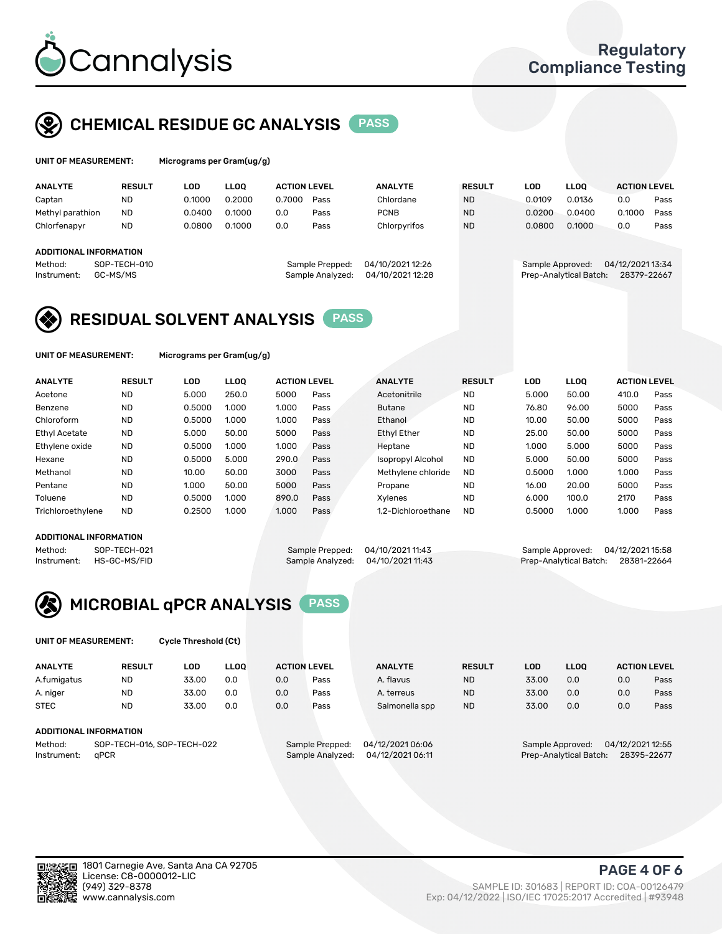

## CHEMICAL RESIDUE GC ANALYSIS PASS

| UNIT OF MEASUREMENT: | Microgran |
|----------------------|-----------|
|                      |           |

ns per Gram(ug/g)

| <b>RESULT</b> | LOD                                                       | <b>LLOO</b> |        |      | <b>ANALYTE</b>                                             | <b>RESULT</b>                        | LOD    | <b>LLOO</b> | <b>ACTION LEVEL</b>                        |                  |
|---------------|-----------------------------------------------------------|-------------|--------|------|------------------------------------------------------------|--------------------------------------|--------|-------------|--------------------------------------------|------------------|
| ND            | 0.1000                                                    | 0.2000      | 0.7000 | Pass | Chlordane                                                  | <b>ND</b>                            | 0.0109 | 0.0136      | 0.0                                        | Pass             |
| <b>ND</b>     | 0.0400                                                    | 0.1000      | 0.0    | Pass | <b>PCNB</b>                                                | <b>ND</b>                            | 0.0200 | 0.0400      | 0.1000                                     | Pass             |
| <b>ND</b>     | 0.0800                                                    | 0.1000      | 0.0    | Pass | Chlorpyrifos                                               | <b>ND</b>                            | 0.0800 | 0.1000      | 0.0                                        | Pass             |
|               |                                                           |             |        |      |                                                            |                                      |        |             |                                            |                  |
|               |                                                           |             |        |      |                                                            |                                      |        |             |                                            |                  |
|               |                                                           |             |        |      |                                                            |                                      |        |             |                                            |                  |
|               |                                                           |             |        |      |                                                            |                                      |        |             | 28379-22667                                |                  |
|               | <b>ADDITIONAL INFORMATION</b><br>SOP-TECH-010<br>GC-MS/MS |             |        |      | <b>ACTION LEVEL</b><br>Sample Prepped:<br>Sample Analyzed: | 04/10/2021 12:26<br>04/10/2021 12:28 |        |             | Sample Approved:<br>Prep-Analytical Batch: | 04/12/2021 13:34 |

## RESIDUAL SOLVENT ANALYSIS PASS

UNIT OF MEASUREMENT: Micrograms per Gram(ug/g)

| <b>ANALYTE</b>       | <b>RESULT</b> | LOD    | <b>LLOO</b> | <b>ACTION LEVEL</b> |      | <b>ANALYTE</b>           | <b>RESULT</b> | <b>LOD</b> | LLOO  | <b>ACTION LEVEL</b> |      |
|----------------------|---------------|--------|-------------|---------------------|------|--------------------------|---------------|------------|-------|---------------------|------|
| Acetone              | <b>ND</b>     | 5.000  | 250.0       | 5000                | Pass | Acetonitrile             | <b>ND</b>     | 5.000      | 50.00 | 410.0               | Pass |
| Benzene              | <b>ND</b>     | 0.5000 | 1.000       | 1.000               | Pass | <b>Butane</b>            | <b>ND</b>     | 76.80      | 96.00 | 5000                | Pass |
| Chloroform           | <b>ND</b>     | 0.5000 | 1.000       | 1.000               | Pass | Ethanol                  | <b>ND</b>     | 10.00      | 50.00 | 5000                | Pass |
| <b>Ethyl Acetate</b> | <b>ND</b>     | 5.000  | 50.00       | 5000                | Pass | <b>Ethyl Ether</b>       | <b>ND</b>     | 25.00      | 50.00 | 5000                | Pass |
| Ethylene oxide       | <b>ND</b>     | 0.5000 | 1.000       | 1.000               | Pass | Heptane                  | <b>ND</b>     | 1.000      | 5.000 | 5000                | Pass |
| Hexane               | <b>ND</b>     | 0.5000 | 5.000       | 290.0               | Pass | <b>Isopropyl Alcohol</b> | <b>ND</b>     | 5.000      | 50.00 | 5000                | Pass |
| Methanol             | <b>ND</b>     | 10.00  | 50.00       | 3000                | Pass | Methylene chloride       | <b>ND</b>     | 0.5000     | 1.000 | 1.000               | Pass |
| Pentane              | <b>ND</b>     | 1.000  | 50.00       | 5000                | Pass | Propane                  | <b>ND</b>     | 16.00      | 20.00 | 5000                | Pass |
| Toluene              | <b>ND</b>     | 0.5000 | 1.000       | 890.0               | Pass | Xvlenes                  | <b>ND</b>     | 6.000      | 100.0 | 2170                | Pass |
| Trichloroethylene    | <b>ND</b>     | 0.2500 | 1.000       | 1.000               | Pass | 1.2-Dichloroethane       | <b>ND</b>     | 0.5000     | 1.000 | 1.000               | Pass |

#### ADDITIONAL INFORMATION

Method: SOP-TECH-021 Sample Prepped: 04/10/2021 11:43 Sample Approved: 04/12/2021 15:58<br>Sample Analyzed: 04/10/2021 11:43 Prep-Analytical Batch: 28381-22664 Prep-Analytical Batch: 28381-22664



UNIT OF MEASUREMENT: Cycle Threshold (Ct)

| <b>ANALYTE</b>                | <b>RESULT</b>            | LOD   | <b>LLOO</b> | <b>ACTION LEVEL</b> |                 | <b>ANALYTE</b>   | <b>RESULT</b> | LOD   | <b>LLOO</b>      |                     | <b>ACTION LEVEL</b> |
|-------------------------------|--------------------------|-------|-------------|---------------------|-----------------|------------------|---------------|-------|------------------|---------------------|---------------------|
| A.fumigatus                   | ND                       | 33.00 | 0.0         | 0.0                 | Pass            | A. flavus        | <b>ND</b>     | 33.00 | 0.0              | 0.0                 | Pass                |
| A. niger                      | <b>ND</b>                | 33.00 | 0.0         | 0.0                 | Pass            | A. terreus       | <b>ND</b>     | 33.00 | 0.0              | 0.0                 | Pass                |
| <b>STEC</b>                   | <b>ND</b>                | 33.00 | 0.0         | 0.0                 | Pass            | Salmonella spp   | <b>ND</b>     | 33.00 | 0.0              | 0.0                 | Pass                |
| <b>ADDITIONAL INFORMATION</b> |                          |       |             |                     |                 |                  |               |       |                  |                     |                     |
| $Mo + ho$ d.                  | COD TEAH AN COD TEAH AND |       |             |                     | Comple Droppedi | 0.4/12/202104.04 |               |       | Comple Approved. | $0.4/10/0024$ 10.55 |                     |

Method: SOP-TECH-016, SOP-TECH-022 Instrument: qPCR Sample Analyzed: 04/12/2021 06:11 Prep-Analytical Batch: 28395-22677

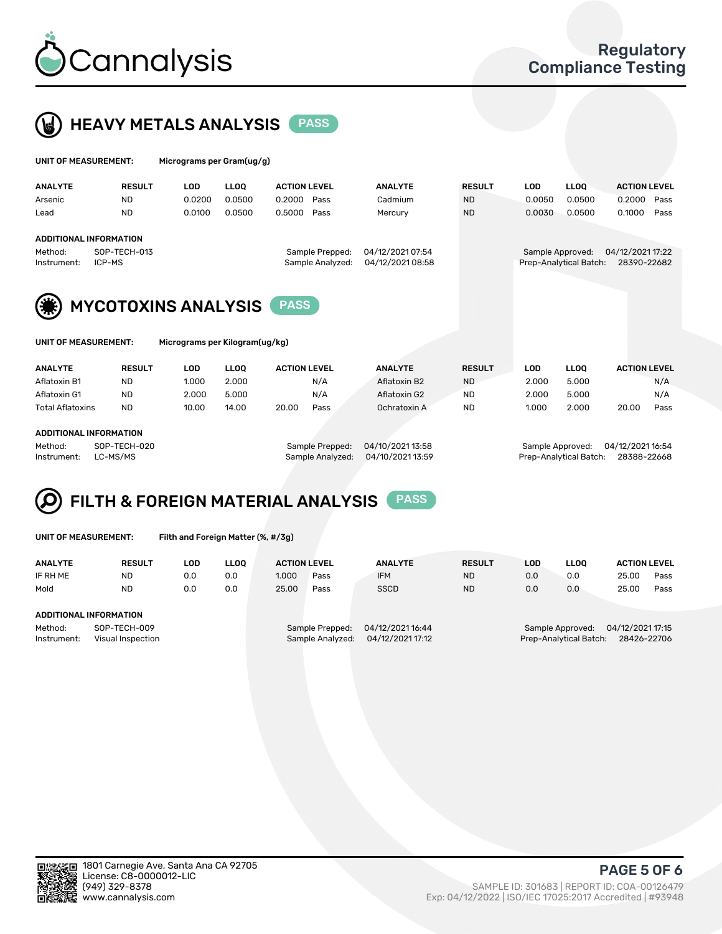



| UNIT OF MEASUREMENT: | Micrograms per Gram(ug/g) |
|----------------------|---------------------------|
|                      |                           |

| <b>ANALYTE</b>         | <b>RESULT</b> | ∟OD    | <b>LLOO</b> | <b>ACTION LEVEL</b> | <b>ANALYTE</b>   | <b>RESULT</b> | LOD              | LLOQ                   | <b>ACTION LEVEL</b> |      |
|------------------------|---------------|--------|-------------|---------------------|------------------|---------------|------------------|------------------------|---------------------|------|
| Arsenic                | <b>ND</b>     | 0.0200 | 0.0500      | 0.2000<br>Pass      | Cadmium          | <b>ND</b>     | 0.0050           | 0.0500                 | 0.2000              | Pass |
| Lead                   | <b>ND</b>     | 0.0100 | 0.0500      | 0.5000<br>Pass      | Mercury          | <b>ND</b>     | 0.0030           | 0.0500                 | 0.1000              | Pass |
|                        |               |        |             |                     |                  |               |                  |                        |                     |      |
| ADDITIONAL INFORMATION |               |        |             |                     |                  |               |                  |                        |                     |      |
| Method:                | SOP-TECH-013  |        |             | Sample Prepped:     | 04/12/2021 07:54 |               | Sample Approved: |                        | 04/12/2021 17:22    |      |
| Instrument:            | ICP-MS        |        |             | Sample Analyzed:    | 04/12/2021 08:58 |               |                  | Prep-Analytical Batch: | 28390-22682         |      |
|                        |               |        |             |                     |                  |               |                  |                        |                     |      |



| UNIT OF MEASUREMENT: |  |
|----------------------|--|
|----------------------|--|

Micrograms per Kilogram(ug/kg)

| <b>ANALYTE</b>          | <b>RESULT</b> | LOD   | <b>LLOO</b> | <b>ACTION LEVEL</b> |      | <b>ANALYTE</b> | <b>RESULT</b> | LOD   | <b>LLOO</b> | <b>ACTION LEVEL</b> |      |
|-------------------------|---------------|-------|-------------|---------------------|------|----------------|---------------|-------|-------------|---------------------|------|
| Aflatoxin B1            | <b>ND</b>     | 1.000 | 2.000       |                     | N/A  | Aflatoxin B2   | <b>ND</b>     | 2.000 | 5.000       |                     | N/A  |
| Aflatoxin G1            | <b>ND</b>     | 2.000 | 5.000       |                     | N/A  | Aflatoxin G2   | <b>ND</b>     | 2.000 | 5.000       |                     | N/A  |
| <b>Total Aflatoxins</b> | <b>ND</b>     | 10.00 | 14.00       | 20.00               | Pass | Ochratoxin A   | <b>ND</b>     | 1.000 | 2.000       | 20.00               | Pass |
|                         |               |       |             |                     |      |                |               |       |             |                     |      |

#### ADDITIONAL INFORMATION

Method: SOP-TECH-020 Sample Prepped: 04/10/2021 13:58 Sample Approved: 04/12/2021 16:54 Instrument: LC-MS/MS Sample Analyzed: 04/10/2021 13:59 Prep-Analytical Batch: 28388-22668

# FILTH & FOREIGN MATERIAL ANALYSIS PASS

UNIT OF MEASUREMENT: Filth and Foreign Matter (%, #/3g)

| <b>ANALYTE</b>                   | <b>RESULT</b> | LOD | <b>LLOO</b> | <b>ACTION LEVEL</b> |                  | <b>ANALYTE</b>   | <b>RESULT</b> | LOD | <b>LLOO</b>            | <b>ACTION LEVEL</b> |      |
|----------------------------------|---------------|-----|-------------|---------------------|------------------|------------------|---------------|-----|------------------------|---------------------|------|
| IF RH ME                         | <b>ND</b>     | 0.0 | 0.0         | 1.000               | Pass             | <b>IFM</b>       | <b>ND</b>     | 0.0 | 0.0                    | 25.00               | Pass |
| Mold                             | <b>ND</b>     | 0.0 | 0.0         | 25.00               | Pass             | <b>SSCD</b>      | <b>ND</b>     | 0.0 | 0.0                    | 25.00               | Pass |
| ADDITIONAL INFORMATION           |               |     |             |                     |                  |                  |               |     |                        |                     |      |
|                                  |               |     |             |                     |                  |                  |               |     |                        |                     |      |
| Instrument:<br>Visual Inspection |               |     |             |                     | Sample Analyzed: | 04/12/2021 17:12 |               |     | Prep-Analytical Batch: | 28426-22706         |      |
| SOP-TECH-009<br>Method:          |               |     |             |                     | Sample Prepped:  | 04/12/2021 16:44 |               |     | Sample Approved:       | 04/12/2021 17:15    |      |



PAGE 5 OF 6